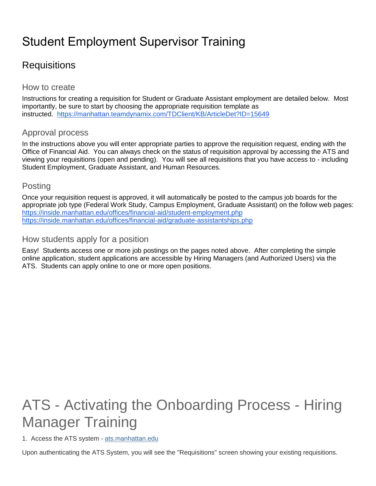## Student Employment Supervisor Training

### **Requisitions**

#### How to create

Instructions for creating a requisition for Student or Graduate Assistant employment are detailed below. Most importantly, be sure to start by choosing the appropriate requisition template as instructed. <https://manhattan.teamdynamix.com/TDClient/KB/ArticleDet?ID=15649>

#### Approval process

In the instructions above you will enter appropriate parties to approve the requisition request, ending with the Office of Financial Aid. You can always check on the status of requisition approval by accessing the ATS and viewing your requisitions (open and pending). You will see all requisitions that you have access to - including Student Employment, Graduate Assistant, and Human Resources.

#### **Posting**

Once your requisition request is approved, it will automatically be posted to the campus job boards for the appropriate job type (Federal Work Study, Campus Employment, Graduate Assistant) on the follow web pages: <https://inside.manhattan.edu/offices/financial-aid/student-employment.php> <https://inside.manhattan.edu/offices/financial-aid/graduate-assistantships.php>

#### How students apply for a position

Easy! Students access one or more job postings on the pages noted above. After completing the simple online application, student applications are accessible by Hiring Managers (and Authorized Users) via the ATS. Students can apply online to one or more open positions.

# ATS - Activating the Onboarding Process - Hiring Manager Training

1. Access the ATS system - [ats.manhattan.edu](http://ats.manhattan.edu/)

Upon authenticating the ATS System, you will see the "Requisitions" screen showing your existing requisitions.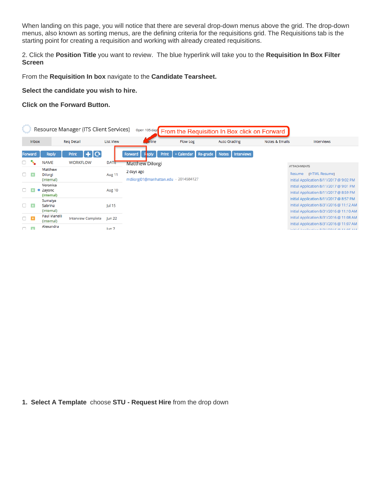When landing on this page, you will notice that there are several drop-down menus above the grid. The drop-down menus, also known as sorting menus, are the defining criteria for the requisitions grid. The Requisitions tab is the starting point for creating a requisition and working with already created requisitions.

2. Click the **Position Title** you want to review. The blue hyperlink will take you to the **Requisition In Box Filter Screen**

From the **Requisition In box** navigate to the **Candidate Tearsheet.**

**Select the candidate you wish to hire.**

**Click on the Forward Button.**

| Resource Manager (ITS Client Services)<br>Open 105 day <sup>1</sup> From the Requisition In Box click on Forward |                |                                  |                           |                  |                                                     |                                        |                                   |                |                                                                                                                                 |  |  |  |  |
|------------------------------------------------------------------------------------------------------------------|----------------|----------------------------------|---------------------------|------------------|-----------------------------------------------------|----------------------------------------|-----------------------------------|----------------|---------------------------------------------------------------------------------------------------------------------------------|--|--|--|--|
| <b>Inbox</b>                                                                                                     |                |                                  | <b>Reg Detail</b>         | <b>List View</b> | eline                                               | <b>Auto Grading</b><br><b>Flow Log</b> |                                   | Notes & Emails | Interviews                                                                                                                      |  |  |  |  |
|                                                                                                                  | Forward        | <b>Reply</b>                     | $  + C $<br>Print         |                  | Print<br>Forward                                    | + Calendar Re-grade                    | <b>Notes</b><br><b>Interviews</b> |                |                                                                                                                                 |  |  |  |  |
| □                                                                                                                | ۰.             | <b>NAME</b>                      | <b>WORKFLOW</b>           | <b>DATE</b>      | <b>Matthew Dilorgi</b>                              |                                        |                                   |                | <b>ATTACHMENTS</b>                                                                                                              |  |  |  |  |
|                                                                                                                  | TA.            | Matthew<br>Dilorgi<br>(internal) |                           | Aug 11           | 2 days ago<br>mdiiorgi01@manhattan.edu · 2014584127 |                                        |                                   |                | [HTML Resume]<br>Resume<br>Initial Application 8/11/2017 @ 9:02 PM                                                              |  |  |  |  |
|                                                                                                                  |                | Veronica<br>Zayonc<br>(internal) |                           | Aug 10           |                                                     |                                        |                                   |                | Initial Application 8/11/2017 @ 9:01 PM<br>Initial Application 8/11/2017 @ 8:59 PM                                              |  |  |  |  |
| n                                                                                                                | $\overline{A}$ | Sumaiya<br>Sabrina<br>(internal) |                           | Jul 15           |                                                     |                                        |                                   |                | Initial Application 8/11/2017 @ 8:57 PM<br>Initial Application 8/31/2016 @ 11:12 AM<br>Initial Application 8/31/2016 @ 11:10 AM |  |  |  |  |
| $\Box$ B                                                                                                         |                | Paul Vianelli<br>(internal)      | <b>Interview Complete</b> | <b>Jun 22</b>    |                                                     |                                        |                                   |                | Initial Application 8/31/2016 @ 11:08 AM                                                                                        |  |  |  |  |
|                                                                                                                  | $\Box$         | Alexandra                        |                           | lun <sub>7</sub> |                                                     |                                        |                                   |                | Initial Application 8/31/2016 @ 11:07 AM<br>Initial Application 0/31/3016 @ 11:05 AM                                            |  |  |  |  |

**1. Select A Template** choose **STU - Request Hire** from the drop down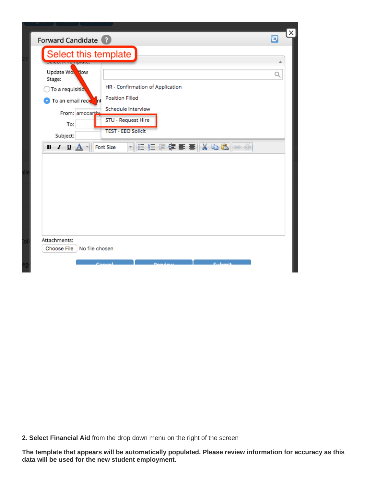|                                                      | Forward Candidate ?                   |   |
|------------------------------------------------------|---------------------------------------|---|
| Select this template                                 |                                       |   |
| <b>DERECK TERRISTICS</b><br>Update Worldow<br>Stage: |                                       | Q |
| To a requisitio,                                     | HR - Confirmation of Application      |   |
| <b>O</b> To an email reck<br><b>In</b>               | <b>Position Filled</b>                |   |
| From: amccarthy                                      | Schedule Interview                    |   |
| To:                                                  | <b>STU - Request Hire</b>             |   |
| Subject:                                             | <b>TEST - EEO Solicit</b>             |   |
| $B$ <i>I</i> <u>U</u> $A$ -                          | ▼旧日年年国事 ※ 『■■ ◎ ※<br><b>Font Size</b> |   |
|                                                      |                                       |   |
|                                                      |                                       |   |

**2. Select Financial Aid** from the drop down menu on the right of the screen

**The template that appears will be automatically populated. Please review information for accuracy as this data will be used for the new student employment.**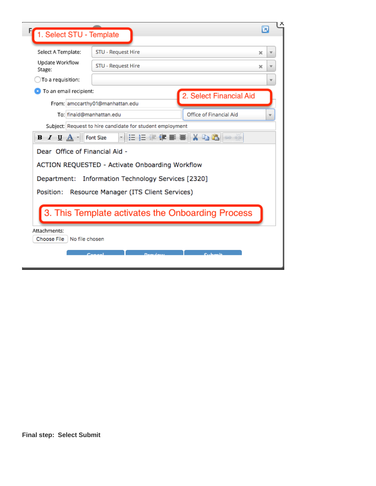|                                    |                | 1. Select STU - Template                                  | ø |                         |
|------------------------------------|----------------|-----------------------------------------------------------|---|-------------------------|
| Select A Template:                 |                | STU - Request Hire                                        | × |                         |
| Update Workflow<br>Stage:          |                | STU - Request Hire                                        | × |                         |
| To a requisition:                  |                |                                                           |   | ▼                       |
| To an email recipient:             |                | 2. Select Financial Aid                                   |   |                         |
|                                    |                | From: amccarthy01@manhattan.edu                           |   |                         |
|                                    |                | Office of Financial Aid<br>To: finaid@manhattan.edu       |   | $\overline{\mathbf{v}}$ |
|                                    |                | Subject: Request to hire candidate for student employment |   |                         |
| $I \cup A$<br>в                    |                | に 扫 伊 青 喜    X �� 8   ∞ ※<br><b>Font Size</b>             |   |                         |
|                                    |                | Dear Office of Financial Aid -                            |   |                         |
|                                    |                | ACTION REQUESTED - Activate Onboarding Workflow           |   |                         |
|                                    |                | Department: Information Technology Services [2320]        |   |                         |
|                                    |                |                                                           |   |                         |
|                                    |                | Resource Manager (ITS Client Services)                    |   |                         |
| Position:                          |                |                                                           |   |                         |
|                                    |                |                                                           |   |                         |
|                                    |                | 3. This Template activates the Onboarding Process         |   |                         |
|                                    |                |                                                           |   |                         |
| Attachments:<br><b>Choose File</b> | No file chosen |                                                           |   |                         |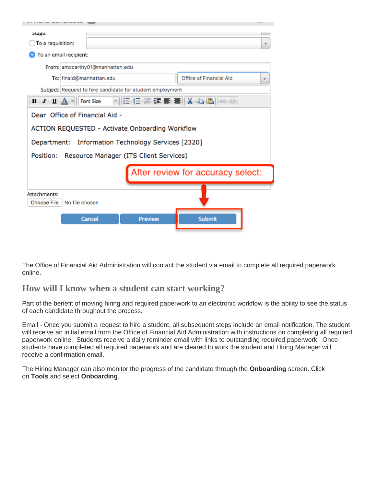| btage:                                                                             |                                                           |                                   |  |  |  |  |  |  |  |  |  |  |
|------------------------------------------------------------------------------------|-----------------------------------------------------------|-----------------------------------|--|--|--|--|--|--|--|--|--|--|
| To a requisition:<br>$\overline{\mathbf{v}}$                                       |                                                           |                                   |  |  |  |  |  |  |  |  |  |  |
| To an email recipient:                                                             |                                                           |                                   |  |  |  |  |  |  |  |  |  |  |
| From: amccarthy01@manhattan.edu                                                    |                                                           |                                   |  |  |  |  |  |  |  |  |  |  |
| Office of Financial Aid<br>To: finaid@manhattan.edu                                |                                                           |                                   |  |  |  |  |  |  |  |  |  |  |
|                                                                                    | Subject: Request to hire candidate for student employment |                                   |  |  |  |  |  |  |  |  |  |  |
| 제품 분 물 물 틀 틀  X �� �� ⊗ ▒<br>$B$ <i>I</i> <u>U</u> $A$ $\cdot$<br><b>Font Size</b> |                                                           |                                   |  |  |  |  |  |  |  |  |  |  |
| Dear Office of Financial Aid -                                                     |                                                           |                                   |  |  |  |  |  |  |  |  |  |  |
| ACTION REQUESTED - Activate Onboarding Workflow                                    |                                                           |                                   |  |  |  |  |  |  |  |  |  |  |
| Department: Information Technology Services [2320]                                 |                                                           |                                   |  |  |  |  |  |  |  |  |  |  |
| Position:                                                                          | Resource Manager (ITS Client Services)                    |                                   |  |  |  |  |  |  |  |  |  |  |
|                                                                                    |                                                           | After review for accuracy select: |  |  |  |  |  |  |  |  |  |  |
|                                                                                    |                                                           |                                   |  |  |  |  |  |  |  |  |  |  |
| Attachments:                                                                       |                                                           |                                   |  |  |  |  |  |  |  |  |  |  |
| No file chosen<br><b>Choose File</b>                                               |                                                           |                                   |  |  |  |  |  |  |  |  |  |  |
|                                                                                    |                                                           |                                   |  |  |  |  |  |  |  |  |  |  |
| Cancel                                                                             | <b>Preview</b>                                            | <b>Submit</b>                     |  |  |  |  |  |  |  |  |  |  |
|                                                                                    |                                                           |                                   |  |  |  |  |  |  |  |  |  |  |

The Office of Financial Aid Administration will contact the student via email to complete all required paperwork online.

#### **How will I know when a student can start working?**

Part of the benefit of moving hiring and required paperwork to an electronic workflow is the ability to see the status of each candidate throughout the process.

Email - Once you submit a request to hire a student, all subsequent steps include an email notification. The student will receive an initial email from the Office of Financial Aid Administration with instructions on completing all required paperwork online. Students receive a daily reminder email with links to outstanding required paperwork. Once students have completed all required paperwork and are cleared to work the student and Hiring Manager will receive a confirmation email.

The Hiring Manager can also monitor the progress of the candidate through the **Onboarding** screen. Click on **Tools** and select **Onboarding**.